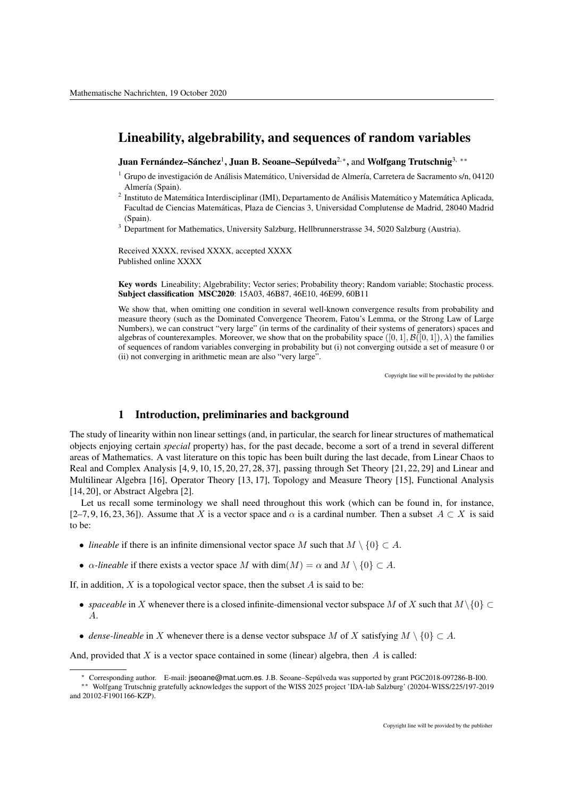## Lineability, algebrability, and sequences of random variables

Juan Fernández–Sánchez<sup>1</sup>, Juan B. Seoane–Sepúlveda<sup>2,</sup>\*, and Wolfgang Trutschnig<sup>3,\*\*</sup>

- $1$  Grupo de investigación de Análisis Matemático, Universidad de Almería, Carretera de Sacramento s/n, 04120 Almería (Spain).
- <sup>2</sup> Instituto de Matemática Interdisciplinar (IMI), Departamento de Análisis Matemático y Matemática Aplicada, Facultad de Ciencias Matematicas, Plaza de Ciencias 3, Universidad Complutense de Madrid, 28040 Madrid ´ (Spain).
- <sup>3</sup> Department for Mathematics, University Salzburg, Hellbrunnerstrasse 34, 5020 Salzburg (Austria).

Received XXXX, revised XXXX, accepted XXXX Published online XXXX

Key words Lineability; Algebrability; Vector series; Probability theory; Random variable; Stochastic process. Subject classification MSC2020: 15A03, 46B87, 46E10, 46E99, 60B11

We show that, when omitting one condition in several well-known convergence results from probability and measure theory (such as the Dominated Convergence Theorem, Fatou's Lemma, or the Strong Law of Large Numbers), we can construct "very large" (in terms of the cardinality of their systems of generators) spaces and algebras of counterexamples. Moreover, we show that on the probability space  $([0, 1], \mathcal{B}([0, 1]), \lambda)$  the families of sequences of random variables converging in probability but (i) not converging outside a set of measure 0 or (ii) not converging in arithmetic mean are also "very large".

Copyright line will be provided by the publisher

## 1 Introduction, preliminaries and background

The study of linearity within non linear settings (and, in particular, the search for linear structures of mathematical objects enjoying certain *special* property) has, for the past decade, become a sort of a trend in several different areas of Mathematics. A vast literature on this topic has been built during the last decade, from Linear Chaos to Real and Complex Analysis [4, 9, 10, 15, 20, 27, 28, 37], passing through Set Theory [21, 22, 29] and Linear and Multilinear Algebra [16], Operator Theory [13, 17], Topology and Measure Theory [15], Functional Analysis [14, 20], or Abstract Algebra [2].

Let us recall some terminology we shall need throughout this work (which can be found in, for instance, [2–7, 9, 16, 23, 36]). Assume that X is a vector space and  $\alpha$  is a cardinal number. Then a subset  $A \subset X$  is said to be:

- *lineable* if there is an infinite dimensional vector space M such that  $M \setminus \{0\} \subset A$ .
- $\alpha$ -lineable if there exists a vector space M with dim(M) =  $\alpha$  and M \ {0}  $\subset A$ .

If, in addition,  $X$  is a topological vector space, then the subset  $A$  is said to be:

- *spaceable* in X whenever there is a closed infinite-dimensional vector subspace M of X such that  $M\setminus\{0\} \subset$ A.
- *dense-lineable* in X whenever there is a dense vector subspace M of X satisfying  $M \setminus \{0\} \subset A$ .

And, provided that  $X$  is a vector space contained in some (linear) algebra, then  $A$  is called:

<sup>∗</sup> Corresponding author. E-mail: jseoane@mat.ucm.es. J.B. Seoane–Sepulveda was supported by grant PGC2018-097286-B-I00. ´

<sup>∗∗</sup> Wolfgang Trutschnig gratefully acknowledges the support of the WISS 2025 project 'IDA-lab Salzburg' (20204-WISS/225/197-2019 and 20102-F1901166-KZP).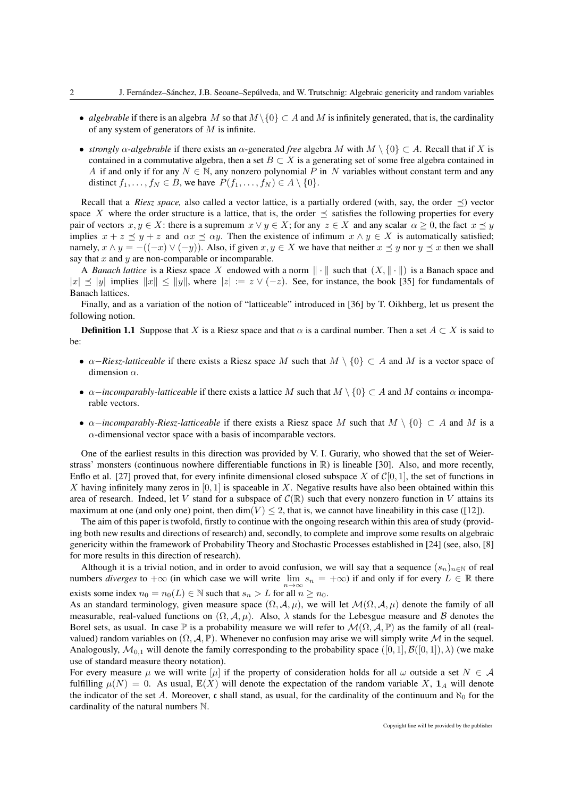- *algebrable* if there is an algebra M so that  $M \setminus \{0\} \subset A$  and M is infinitely generated, that is, the cardinality of any system of generators of  $M$  is infinite.
- *strongly*  $\alpha$ -*algebrable* if there exists an  $\alpha$ -generated *free* algebra M with  $M \setminus \{0\} \subset A$ . Recall that if X is contained in a commutative algebra, then a set  $B \subset X$  is a generating set of some free algebra contained in A if and only if for any  $N \in \mathbb{N}$ , any nonzero polynomial P in N variables without constant term and any distinct  $f_1, \ldots, f_N \in B$ , we have  $P(f_1, \ldots, f_N) \in A \setminus \{0\}.$

Recall that a *Riesz space*, also called a vector lattice, is a partially ordered (with, say, the order  $\prec$ ) vector space X where the order structure is a lattice, that is, the order  $\prec$  satisfies the following properties for every pair of vectors  $x, y \in X$ : there is a supremum  $x \vee y \in X$ ; for any  $z \in X$  and any scalar  $\alpha > 0$ , the fact  $x \prec y$ implies  $x + z \leq y + z$  and  $\alpha x \leq \alpha y$ . Then the existence of infimum  $x \wedge y \in X$  is automatically satisfied; namely,  $x \wedge y = -((-x) \vee (-y))$ . Also, if given  $x, y \in X$  we have that neither  $x \preceq y$  nor  $y \preceq x$  then we shall say that  $x$  and  $y$  are non-comparable or incomparable.

A *Banach lattice* is a Riesz space X endowed with a norm  $\|\cdot\|$  such that  $(X, \|\cdot\|)$  is a Banach space and  $|x| \le |y|$  implies  $||x|| \le ||y||$ , where  $|z| := z \vee (-z)$ . See, for instance, the book [35] for fundamentals of Banach lattices.

Finally, and as a variation of the notion of "latticeable" introduced in [36] by T. Oikhberg, let us present the following notion.

**Definition 1.1** Suppose that X is a Riesz space and that  $\alpha$  is a cardinal number. Then a set  $A \subset X$  is said to be:

- $\alpha$ –*Riesz-latticeable* if there exists a Riesz space M such that  $M \setminus \{0\} \subset A$  and M is a vector space of dimension  $\alpha$ .
- $\alpha$ *-incomparably-latticeable* if there exists a lattice M such that  $M \setminus \{0\} \subset A$  and M contains  $\alpha$  incomparable vectors.
- $\alpha$ *-incomparably-Riesz-latticeable* if there exists a Riesz space M such that  $M \setminus \{0\} \subset A$  and M is a  $\alpha$ -dimensional vector space with a basis of incomparable vectors.

One of the earliest results in this direction was provided by V. I. Gurariy, who showed that the set of Weierstrass' monsters (continuous nowhere differentiable functions in  $\mathbb{R}$ ) is lineable [30]. Also, and more recently, Enflo et al. [27] proved that, for every infinite dimensional closed subspace X of  $\mathcal{C}[0, 1]$ , the set of functions in X having infinitely many zeros in  $[0, 1]$  is spaceable in X. Negative results have also been obtained within this area of research. Indeed, let V stand for a subspace of  $\mathcal{C}(\mathbb{R})$  such that every nonzero function in V attains its maximum at one (and only one) point, then  $\dim(V) < 2$ , that is, we cannot have lineability in this case ([12]).

The aim of this paper is twofold, firstly to continue with the ongoing research within this area of study (providing both new results and directions of research) and, secondly, to complete and improve some results on algebraic genericity within the framework of Probability Theory and Stochastic Processes established in [24] (see, also, [8] for more results in this direction of research).

Although it is a trivial notion, and in order to avoid confusion, we will say that a sequence  $(s_n)_{n\in\mathbb{N}}$  of real numbers *diverges* to  $+\infty$  (in which case we will write  $\lim_{n\to\infty} s_n = +\infty$ ) if and only if for every  $L \in \mathbb{R}$  there exists some index  $n_0 = n_0(L) \in \mathbb{N}$  such that  $s_n > L$  for all  $n \geq n_0$ .

As an standard terminology, given measure space  $(\Omega, \mathcal{A}, \mu)$ , we will let  $\mathcal{M}(\Omega, \mathcal{A}, \mu)$  denote the family of all measurable, real-valued functions on  $(\Omega, \mathcal{A}, \mu)$ . Also,  $\lambda$  stands for the Lebesgue measure and B denotes the Borel sets, as usual. In case  $\mathbb P$  is a probability measure we will refer to  $\mathcal M(\Omega,\mathcal A,\mathbb P)$  as the family of all (realvalued) random variables on  $(\Omega, \mathcal{A}, \mathbb{P})$ . Whenever no confusion may arise we will simply write M in the sequel. Analogously,  $\mathcal{M}_{0,1}$  will denote the family corresponding to the probability space  $([0,1], \mathcal{B}([0,1]), \lambda)$  (we make use of standard measure theory notation).

For every measure  $\mu$  we will write  $[\mu]$  if the property of consideration holds for all  $\omega$  outside a set  $N \in \mathcal{A}$ fulfilling  $\mu(N) = 0$ . As usual,  $\mathbb{E}(X)$  will denote the expectation of the random variable X,  $\mathbf{1}_A$  will denote the indicator of the set A. Moreover, c shall stand, as usual, for the cardinality of the continuum and  $\aleph_0$  for the cardinality of the natural numbers N.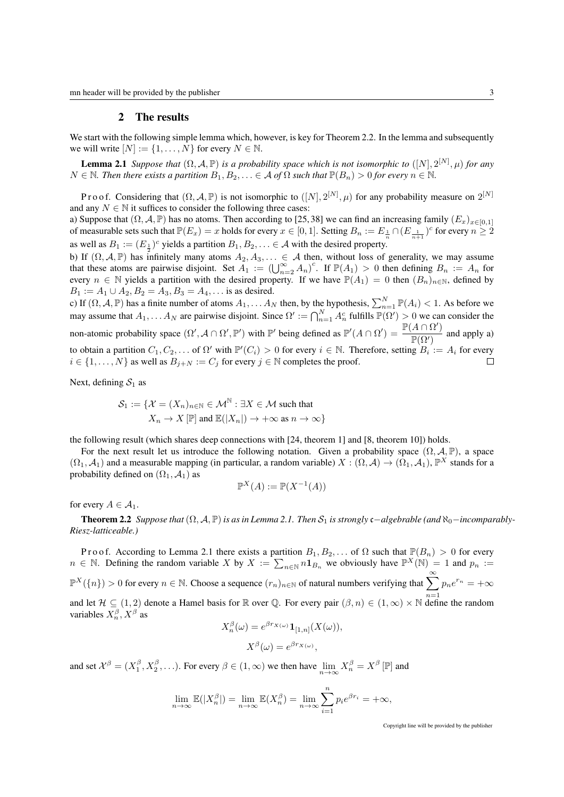## 2 The results

We start with the following simple lemma which, however, is key for Theorem 2.2. In the lemma and subsequently we will write  $[N] := \{1, \ldots, N\}$  for every  $N \in \mathbb{N}$ .

**Lemma 2.1** *Suppose that*  $(\Omega, \mathcal{A}, \mathbb{P})$  *is a probability space which is not isomorphic to*  $([N], 2^{[N]}, \mu)$  *for any*  $N \in \mathbb{N}$ . Then there exists a partition  $B_1, B_2, \ldots \in \mathcal{A}$  of  $\Omega$  such that  $\mathbb{P}(B_n) > 0$  for every  $n \in \mathbb{N}$ .

Proof. Considering that  $(\Omega, \mathcal{A}, \mathbb{P})$  is not isomorphic to  $([N], 2^{[N]}, \mu)$  for any probability measure on  $2^{[N]}$ and any  $N \in \mathbb{N}$  it suffices to consider the following three cases:

a) Suppose that  $(\Omega, \mathcal{A}, \mathbb{P})$  has no atoms. Then according to [25,38] we can find an increasing family  $(E_x)_{x \in [0,1]}$ of measurable sets such that  $\mathbb{P}(E_x) = x$  holds for every  $x \in [0, 1]$ . Setting  $B_n := E_{\frac{1}{n}} \cap (E_{\frac{1}{n+1}})^c$  for every  $n \ge 2$ as well as  $B_1 := (E_{\frac{1}{2}})^c$  yields a partition  $B_1, B_2, \ldots \in A$  with the desired property.

b) If  $(\Omega, \mathcal{A}, \mathbb{P})$  has infinitely many atoms  $A_2, A_3, \ldots \in \mathcal{A}$  then, without loss of generality, we may assume that these atoms are pairwise disjoint. Set  $A_1 := (\bigcup_{n=2}^{\infty} A_n)^c$ . If  $\mathbb{P}(A_1) > 0$  then defining  $B_n := A_n$  for every  $n \in \mathbb{N}$  yields a partition with the desired property. If we have  $\mathbb{P}(A_1) = 0$  then  $(B_n)_{n \in \mathbb{N}}$ , defined by  $B_1 := A_1 \cup A_2, B_2 = A_3, B_3 = A_4, \dots$  is as desired.

c) If  $(\Omega, \mathcal{A}, \mathbb{P})$  has a finite number of atoms  $A_1, \ldots A_N$  then, by the hypothesis,  $\sum_{n=1}^N \mathbb{P}(A_i) < 1$ . As before we may assume that  $A_1, \ldots A_N$  are pairwise disjoint. Since  $\Omega' := \bigcap_{n=1}^N A_n^c$  fulfills  $\mathbb{P}(\Omega') > 0$  we can consider the non-atomic probability space  $(\Omega', A \cap \Omega', \mathbb{P}')$  with  $\mathbb{P}'$  being defined as  $\mathbb{P}'(A \cap \Omega') = \frac{\mathbb{P}(A \cap \Omega')}{\mathbb{P}(A \cap \Omega')}$  $\frac{(\Gamma + 12)}{\mathbb{P}(\Omega)}$  and apply a) to obtain a partition  $C_1, C_2, \ldots$  of  $\Omega'$  with  $\mathbb{P}'(C_i) > 0$  for every  $i \in \mathbb{N}$ . Therefore, setting  $B_i := A_i$  for every  $i \in \{1, \ldots, N\}$  as well as  $B_{j+N} := C_j$  for every  $j \in \mathbb{N}$  completes the proof.

Next, defining  $S_1$  as

$$
S_1 := \{ \mathcal{X} = (X_n)_{n \in \mathbb{N}} \in \mathcal{M}^{\mathbb{N}} : \exists X \in \mathcal{M} \text{ such that } X_n \to X [\mathbb{P}] \text{ and } \mathbb{E}(|X_n|) \to +\infty \text{ as } n \to \infty \}
$$

the following result (which shares deep connections with [24, theorem 1] and [8, theorem 10]) holds.

For the next result let us introduce the following notation. Given a probability space  $(\Omega, \mathcal{A}, \mathbb{P})$ , a space  $(\Omega_1, \mathcal{A}_1)$  and a measurable mapping (in particular, a random variable)  $X : (\Omega, \mathcal{A}) \to (\Omega_1, \mathcal{A}_1)$ ,  $\mathbb{P}^X$  stands for a probability defined on  $(\Omega_1, \mathcal{A}_1)$  as

$$
\mathbb{P}^X(A) := \mathbb{P}(X^{-1}(A))
$$

for every  $A \in \mathcal{A}_1$ .

**Theorem 2.2** *Suppose that*  $(\Omega, \mathcal{A}, \mathbb{P})$  *is as in Lemma 2.1. Then*  $\mathcal{S}_1$  *is strongly* c−*algebrable (and*  $\aleph_0$ −*incomparably*-*Riesz-latticeable.)*

Proof. According to Lemma 2.1 there exists a partition  $B_1, B_2, \ldots$  of  $\Omega$  such that  $\mathbb{P}(B_n) > 0$  for every  $n \in \mathbb{N}$ . Defining the random variable X by  $X := \sum_{n \in \mathbb{N}} n \mathbf{1}_{B_n}$  we obviously have  $\mathbb{P}^X(\mathbb{N}) = 1$  and  $p_n :=$  $\mathbb{P}^{X}(\{n\}) > 0$  for every  $n \in \mathbb{N}$ . Choose a sequence  $(r_n)_{n \in \mathbb{N}}$  of natural numbers verifying that  $\sum_{n=1}^{\infty} p_n e^{r_n} = +\infty$ 

and let  $\mathcal{H} \subseteq (1,2)$  denote a Hamel basis for R over Q. For every pair  $(\beta, n) \in (1,\infty) \times \mathbb{N}$  define the random variables  $X_n^{\beta}$ ,  $X^{\beta}$  as

$$
X_n^{\beta}(\omega) = e^{\beta r_{X(\omega)}} \mathbf{1}_{[1,n]}(X(\omega)),
$$

$$
X^{\beta}(\omega) = e^{\beta r_{X(\omega)}},
$$

and set  $\mathcal{X}^{\beta} = (X_1^{\beta}, X_2^{\beta}, \ldots)$ . For every  $\beta \in (1, \infty)$  we then have  $\lim_{n \to \infty} X_n^{\beta} = X^{\beta}$  [P] and

$$
\lim_{n \to \infty} \mathbb{E}(|X_n^{\beta}|) = \lim_{n \to \infty} \mathbb{E}(X_n^{\beta}) = \lim_{n \to \infty} \sum_{i=1}^n p_i e^{\beta r_i} = +\infty,
$$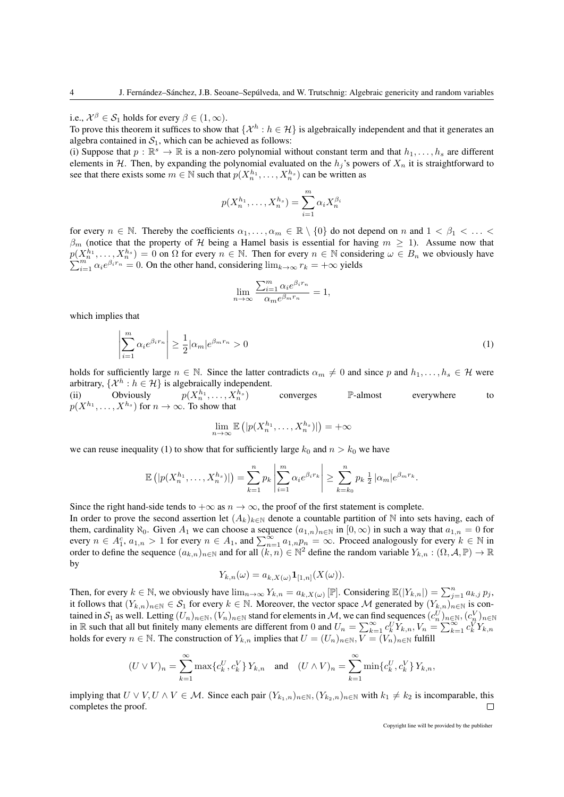i.e.,  $\mathcal{X}^{\beta} \in \mathcal{S}_1$  holds for every  $\beta \in (1,\infty)$ .

To prove this theorem it suffices to show that  $\{\mathcal{X}^h : h \in \mathcal{H}\}$  is algebraically independent and that it generates an algebra contained in  $S_1$ , which can be achieved as follows:

(i) Suppose that  $p : \mathbb{R}^s \to \mathbb{R}$  is a non-zero polynomial without constant term and that  $h_1, \ldots, h_s$  are different elements in H. Then, by expanding the polynomial evaluated on the  $h_i$ 's powers of  $X_n$  it is straightforward to see that there exists some  $m \in \mathbb{N}$  such that  $p(X_n^{h_1}, \ldots, X_n^{h_s})$  can be written as

$$
p(X_n^{h_1},\ldots,X_n^{h_s})=\sum_{i=1}^m \alpha_i X_n^{\beta_i}
$$

for every  $n \in \mathbb{N}$ . Thereby the coefficients  $\alpha_1, \ldots, \alpha_m \in \mathbb{R} \setminus \{0\}$  do not depend on n and  $1 < \beta_1 < \ldots <$  $\beta_m$  (notice that the property of H being a Hamel basis is essential for having  $m \geq 1$ ). Assume now that  $p(X_n^{h_1},...,X_n^{h_s})=0$  on  $\Omega$  for every  $n \in \mathbb{N}$ . Then for every  $n \in \mathbb{N}$  considering  $\omega \in B_n$  we obviously have  $p(\lambda_n^n, \ldots, \lambda_n^n) = 0$  on  $\Omega$  for every  $n \in \mathbb{N}$ . Then for every  $n \in \mathbb{N}$  consistently  $\sum_{i=1}^m \alpha_i e^{\beta_i r_n} = 0$ . On the other hand, considering  $\lim_{k \to \infty} r_k = +\infty$  yields

$$
\lim_{n \to \infty} \frac{\sum_{i=1}^{m} \alpha_i e^{\beta_i r_n}}{\alpha_m e^{\beta_m r_n}} = 1,
$$

which implies that

$$
\left| \sum_{i=1}^{m} \alpha_i e^{\beta_i r_n} \right| \ge \frac{1}{2} |\alpha_m| e^{\beta_m r_n} > 0 \tag{1}
$$

holds for sufficiently large  $n \in \mathbb{N}$ . Since the latter contradicts  $\alpha_m \neq 0$  and since p and  $h_1, \ldots, h_s \in \mathcal{H}$  were arbitrary,  $\{\mathcal{X}^h : h \in \mathcal{H}\}$  is algebraically independent.

(ii) Obviously  $p(X_n^{h_1},...,X_n^{h_n})$  for  $n \to \infty$ . To show that  $, \ldots, X_n^{h_s}$ ) converges P-almost everywhere to

$$
\lim_{n \to \infty} \mathbb{E}\left( |p(X_n^{h_1}, \dots, X_n^{h_s})| \right) = +\infty
$$

we can reuse inequality (1) to show that for sufficiently large  $k_0$  and  $n > k_0$  we have

$$
\mathbb{E}\left(|p(X_n^{h_1},\ldots,X_n^{h_s})|\right)=\sum_{k=1}^n p_k \left|\sum_{i=1}^m \alpha_i e^{\beta_i r_k}\right| \geq \sum_{k=k_0}^n p_k \frac{1}{2}|\alpha_m|e^{\beta_m r_k}.
$$

Since the right hand-side tends to  $+\infty$  as  $n \to \infty$ , the proof of the first statement is complete.

In order to prove the second assertion let  $(A_k)_{k\in\mathbb{N}}$  denote a countable partition of N into sets having, each of them, cardinality  $\aleph_0$ . Given  $A_1$  we can choose a sequence  $(a_{1,n})_{n\in\mathbb{N}}$  in  $[0,\infty)$  in such a way that  $a_{1,n}=0$  for every  $n \in A_1^c$ ,  $a_{1,n} > 1$  for every  $n \in A_1$ , and  $\sum_{n=1}^{\infty} a_{1,n} p_n = \infty$ . Proceed analogously for every  $k \in \mathbb{N}$  in order to define the sequence  $(a_{k,n})_{n\in\mathbb{N}}$  and for all  $(k,n)\in\mathbb{N}^2$  define the random variable  $Y_{k,n}:(\Omega,\mathcal{A},\mathbb{P})\to\mathbb{R}$ by

$$
Y_{k,n}(\omega) = a_{k,X(\omega)} \mathbf{1}_{[1,n]}(X(\omega)).
$$

Then, for every  $k \in \mathbb{N}$ , we obviously have  $\lim_{n \to \infty} Y_{k,n} = a_{k,X(\omega)} [\mathbb{P}]$ . Considering  $\mathbb{E}(|Y_{k,n}|) = \sum_{j=1}^{n} a_{k,j} p_j$ , it follows that  $(Y_{k,n})_{n\in\mathbb{N}}\in\mathcal{S}_1$  for every  $k\in\mathbb{N}$ . Moreover, the vector space M generated by  $(Y_{k,n})_{n\in\mathbb{N}}$  is contained in  $\mathcal{S}_1$  as well. Letting  $(U_n)_{n\in\mathbb{N}},(V_n)_{n\in\mathbb{N}}$  stand for elements in  $\mathcal{M}$ , we can find sequences  $(c_n^U)_{n\in\mathbb{N}}, (c_n^V)_{n\in\mathbb{N}}$ in R such that all but finitely many elements are different from 0 and  $U_n = \sum_{k=1}^{\infty} c_k^U \dot{Y}_{k,n}, V_n = \sum_{k=1}^{\infty} c_k^V Y_{k,n}$ holds for every  $n \in \mathbb{N}$ . The construction of  $Y_{k,n}$  implies that  $U = (U_n)_{n \in \mathbb{N}}$ ,  $\overline{V} = (V_n)_{n \in \mathbb{N}}$  fulfill

$$
(U \vee V)_n = \sum_{k=1}^{\infty} \max \{c_k^U, c_k^V\} Y_{k,n} \text{ and } (U \wedge V)_n = \sum_{k=1}^{\infty} \min \{c_k^U, c_k^V\} Y_{k,n},
$$

implying that  $U \vee V, U \wedge V \in \mathcal{M}$ . Since each pair  $(Y_{k_1,n})_{n \in \mathbb{N}}, (Y_{k_2,n})_{n \in \mathbb{N}}$  with  $k_1 \neq k_2$  is incomparable, this completes the proof.  $\Box$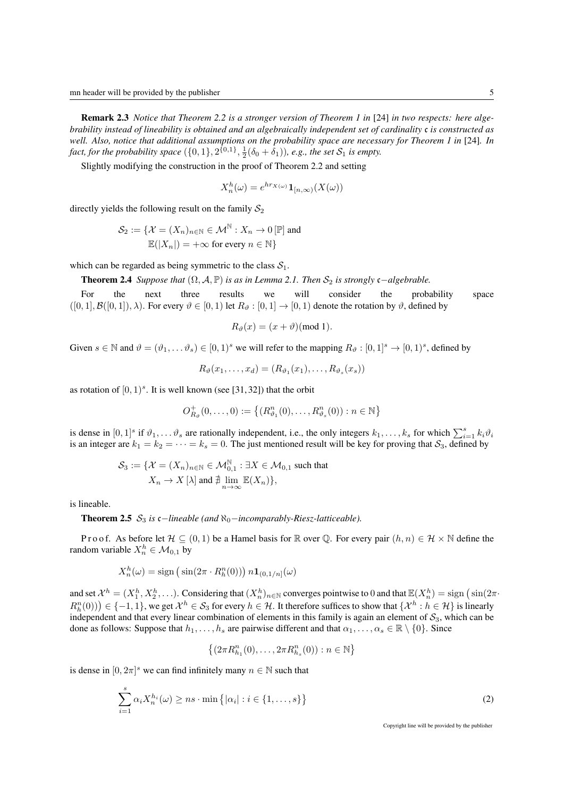Remark 2.3 *Notice that Theorem 2.2 is a stronger version of Theorem 1 in* [24] *in two respects: here algebrability instead of lineability is obtained and an algebraically independent set of cardinality* c *is constructed as well. Also, notice that additional assumptions on the probability space are necessary for Theorem 1 in* [24]*. In* fact, for the probability space  $(\{0,1\},2^{\{0,1\}},\frac{1}{2}(\delta_0+\delta_1))$ , e.g., the set  $\mathcal{S}_1$  is empty.

Slightly modifying the construction in the proof of Theorem 2.2 and setting

$$
X_n^h(\omega) = e^{hr_{X(\omega)}} \mathbf{1}_{[n,\infty)}(X(\omega))
$$

directly yields the following result on the family  $S_2$ 

$$
\mathcal{S}_2 := \{ \mathcal{X} = (X_n)_{n \in \mathbb{N}} \in \mathcal{M}^{\mathbb{N}} : X_n \to 0 [\mathbb{P}] \text{ and}
$$
  

$$
\mathbb{E}(|X_n|) = +\infty \text{ for every } n \in \mathbb{N} \}
$$

which can be regarded as being symmetric to the class  $S_1$ .

**Theorem 2.4** *Suppose that*  $(\Omega, \mathcal{A}, \mathbb{P})$  *is as in Lemma 2.1. Then*  $\mathcal{S}_2$  *is strongly* c−*algebrable.* 

For the next three results we will consider the probability space  $([0, 1], \mathcal{B}([0, 1]), \lambda)$ . For every  $\vartheta \in [0, 1]$  let  $R_{\vartheta} : [0, 1] \to [0, 1]$  denote the rotation by  $\vartheta$ , defined by

$$
R_{\vartheta}(x) = (x + \vartheta)(\text{mod } 1).
$$

Given  $s \in \mathbb{N}$  and  $\vartheta = (\vartheta_1, \dots \vartheta_s) \in [0, 1)^s$  we will refer to the mapping  $R_{\vartheta} : [0, 1]^s \to [0, 1)^s$ , defined by

$$
R_{\vartheta}(x_1,\ldots,x_d)=(R_{\vartheta_1}(x_1),\ldots,R_{\vartheta_s}(x_s))
$$

as rotation of  $[0, 1)<sup>s</sup>$ . It is well known (see [31,32]) that the orbit

$$
O_{R_{\vartheta}}^+(0,\ldots,0):=\{(R_{\vartheta_1}^n(0),\ldots,R_{\vartheta_s}^n(0)):n\in\mathbb{N}\}
$$

is dense in  $[0,1]^s$  if  $\vartheta_1,\ldots,\vartheta_s$  are rationally independent, i.e., the only integers  $k_1,\ldots,k_s$  for which  $\sum_{i=1}^s k_i\vartheta_i$ is an integer are  $k_1 = k_2 = \cdots = k_s = 0$ . The just mentioned result will be key for proving that  $S_3$ , defined by

$$
\mathcal{S}_3 := \{ \mathcal{X} = (X_n)_{n \in \mathbb{N}} \in \mathcal{M}_{0,1}^{\mathbb{N}} : \exists X \in \mathcal{M}_{0,1} \text{ such that } X_n \to X [\lambda] \text{ and } \nexists \lim_{n \to \infty} \mathbb{E}(X_n) \},
$$

is lineable.

**Theorem 2.5**  $S_3$  *is* c−*lineable (and*  $\aleph_0$ −*incomparably-Riesz-latticeable).* 

P r o o f. As before let  $\mathcal{H} \subseteq (0,1)$  be a Hamel basis for R over Q. For every pair  $(h,n) \in \mathcal{H} \times \mathbb{N}$  define the random variable  $X_n^h \in \mathcal{M}_{0,1}$  by

$$
X_n^h(\omega) = \text{sign}\left(\sin(2\pi \cdot R_h^n(0))\right) n \mathbf{1}_{(0,1/n]}(\omega)
$$

and set  $\mathcal{X}^h = (X_1^h, X_2^h, \ldots)$ . Considering that  $(X_n^h)_{n \in \mathbb{N}}$  converges pointwise to 0 and that  $\mathbb{E}(X_n^h) = \text{sign}\left(\sin(2\pi \cdot \nabla \cdot \nabla \cdot \nabla \cdot \nabla \cdot \nabla \cdot \nabla \cdot \nabla \cdot \nabla \cdot \nabla \cdot \nabla \cdot \nabla \cdot \nabla \cdot \nabla \cdot \nabla \cdot \nab$  $R_h^n(0)$ )  $\in \{-1,1\}$ , we get  $\mathcal{X}^h \in \mathcal{S}_3$  for every  $h \in \mathcal{H}$ . It therefore suffices to show that  $\{\mathcal{X}^h : h \in \mathcal{H}\}\$  is linearly independent and that every linear combination of elements in this family is again an element of  $S_3$ , which can be done as follows: Suppose that  $h_1, \ldots, h_s$  are pairwise different and that  $\alpha_1, \ldots, \alpha_s \in \mathbb{R} \setminus \{0\}$ . Since

$$
\{(2\pi R^n_{h_1}(0),\ldots,2\pi R^n_{h_s}(0)):n\in\mathbb{N}\}
$$

is dense in  $[0, 2\pi]$ <sup>s</sup> we can find infinitely many  $n \in \mathbb{N}$  such that

$$
\sum_{i=1}^{s} \alpha_i X_n^{h_i}(\omega) \geq n s \cdot \min\left\{|\alpha_i| : i \in \{1, \dots, s\}\right\}
$$
 (2)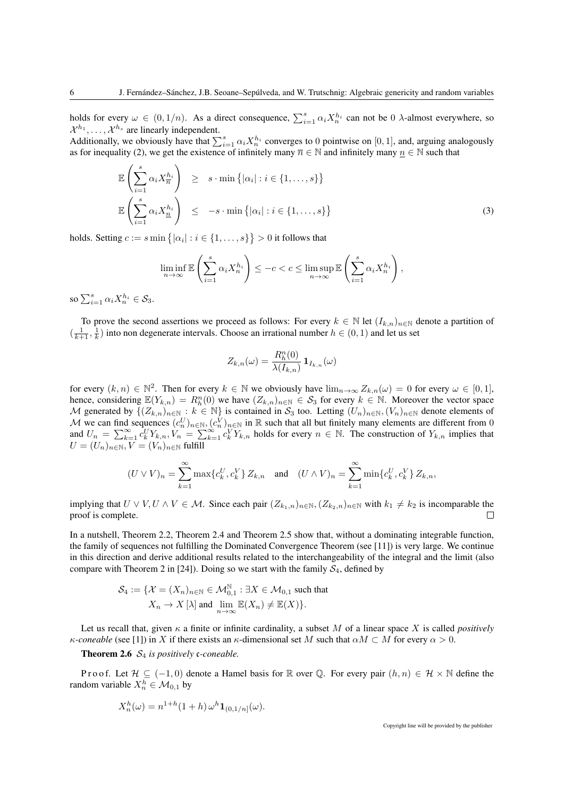holds for every  $\omega \in (0, 1/n)$ . As a direct consequence,  $\sum_{i=1}^{s} \alpha_i X_n^{h_i}$  can not be 0  $\lambda$ -almost everywhere, so  $\mathcal{X}^{h_1}, \ldots, \mathcal{X}^{h_s}$  are linearly independent.

Additionally, we obviously have that  $\sum_{i=1}^{s} \alpha_i X_n^{h_i}$  converges to 0 pointwise on [0, 1], and, arguing analogously as for inequality (2), we get the existence of infinitely many  $\overline{n} \in \mathbb{N}$  and infinitely many  $n \in \mathbb{N}$  such that

$$
\mathbb{E}\left(\sum_{i=1}^{s} \alpha_i X_{\overline{n}}^{h_i}\right) \geq s \cdot \min\left\{|\alpha_i| : i \in \{1, ..., s\}\right\}
$$
  

$$
\mathbb{E}\left(\sum_{i=1}^{s} \alpha_i X_{\underline{n}}^{h_i}\right) \leq -s \cdot \min\left\{|\alpha_i| : i \in \{1, ..., s\}\right\}
$$
 (3)

holds. Setting  $c := s \min\big\{|\alpha_i| : i \in \{1, \ldots, s\}\big\} > 0$  it follows that

$$
\liminf_{n \to \infty} \mathbb{E}\left(\sum_{i=1}^s \alpha_i X_n^{h_i}\right) \le -c < c \le \limsup_{n \to \infty} \mathbb{E}\left(\sum_{i=1}^s \alpha_i X_n^{h_i}\right),
$$

so  $\sum_{i=1}^s \alpha_i X_n^{h_i} \in \mathcal{S}_3$ .

To prove the second assertions we proceed as follows: For every  $k \in \mathbb{N}$  let  $(I_{k,n})_{n\in\mathbb{N}}$  denote a partition of  $(\frac{1}{k+1}, \frac{1}{k})$  into non degenerate intervals. Choose an irrational number  $h \in (0, 1)$  and let us set

$$
Z_{k,n}(\omega) = \frac{R_h^n(0)}{\lambda(I_{k,n})} \mathbf{1}_{I_{k,n}}(\omega)
$$

for every  $(k, n) \in \mathbb{N}^2$ . Then for every  $k \in \mathbb{N}$  we obviously have  $\lim_{n \to \infty} Z_{k,n}(\omega) = 0$  for every  $\omega \in [0, 1]$ , hence, considering  $\mathbb{E}(Y_{k,n}) = R_h^n(0)$  we have  $(Z_{k,n})_{n \in \mathbb{N}} \in S_3$  for every  $k \in \mathbb{N}$ . Moreover the vector space Hence, considering  $\mathbb{E}(Y_{k,n}) = R_k(0)$  we have  $(Z_{k,n})_{n \in \mathbb{N}} \in S_3$  for every  $k \in \mathbb{N}$ . Moreover the vector space  $\mathcal{M}$  generated by  $\{(Z_{k,n})_{n \in \mathbb{N}} : k \in \mathbb{N}\}$  is contained in  $S_3$  too. Letting  $(U_n)_{n \in \mathbb{N}}$ M we can find sequences  $(c_n^U)_{n\in\mathbb{N}}$ ,  $(c_n^V)_{n\in\mathbb{N}}$  in R such that all but finitely many elements are different from 0 and  $U_n = \sum_{k=1}^{\infty} c_k^U Y_{k,n}, V_n = \sum_{k=1}^{\infty} c_k^V Y_{k,n}$  holds for every  $n \in \mathbb{N}$ . The construction of  $Y_{k,n}$  implies that  $U=(U_n)_{n\in\mathbb{N}}, V=(V_n)_{n\in\mathbb{N}}$  fulfill

$$
(U \vee V)_n = \sum_{k=1}^{\infty} \max \{c_k^U, c_k^V\} Z_{k,n} \text{ and } (U \wedge V)_n = \sum_{k=1}^{\infty} \min \{c_k^U, c_k^V\} Z_{k,n},
$$

implying that  $U \vee V, U \wedge V \in \mathcal{M}$ . Since each pair  $(Z_{k_1,n})_{n \in \mathbb{N}}, (Z_{k_2,n})_{n \in \mathbb{N}}$  with  $k_1 \neq k_2$  is incomparable the proof is complete.  $\Box$ 

In a nutshell, Theorem 2.2, Theorem 2.4 and Theorem 2.5 show that, without a dominating integrable function, the family of sequences not fulfilling the Dominated Convergence Theorem (see [11]) is very large. We continue in this direction and derive additional results related to the interchangeability of the integral and the limit (also compare with Theorem 2 in [24]). Doing so we start with the family  $S_4$ , defined by

$$
\mathcal{S}_4 := \{ \mathcal{X} = (X_n)_{n \in \mathbb{N}} \in \mathcal{M}_{0,1}^{\mathbb{N}} : \exists X \in \mathcal{M}_{0,1} \text{ such that } X_n \to X [\lambda] \text{ and } \lim_{n \to \infty} \mathbb{E}(X_n) \neq \mathbb{E}(X) \}.
$$

Let us recall that, given  $\kappa$  a finite or infinite cardinality, a subset M of a linear space X is called *positively*  $\kappa$ -coneable (see [1]) in X if there exists an  $\kappa$ -dimensional set M such that  $\alpha M \subset M$  for every  $\alpha > 0$ .

**Theorem 2.6**  $S_4$  *is positively c-coneable.* 

Proof. Let  $\mathcal{H} \subseteq (-1,0)$  denote a Hamel basis for R over Q. For every pair  $(h,n) \in \mathcal{H} \times \mathbb{N}$  define the random variable  $X_n^h \in \mathcal{M}_{0,1}$  by

$$
X_n^h(\omega) = n^{1+h}(1+h) \,\omega^h \mathbf{1}_{(0,1/n]}(\omega).
$$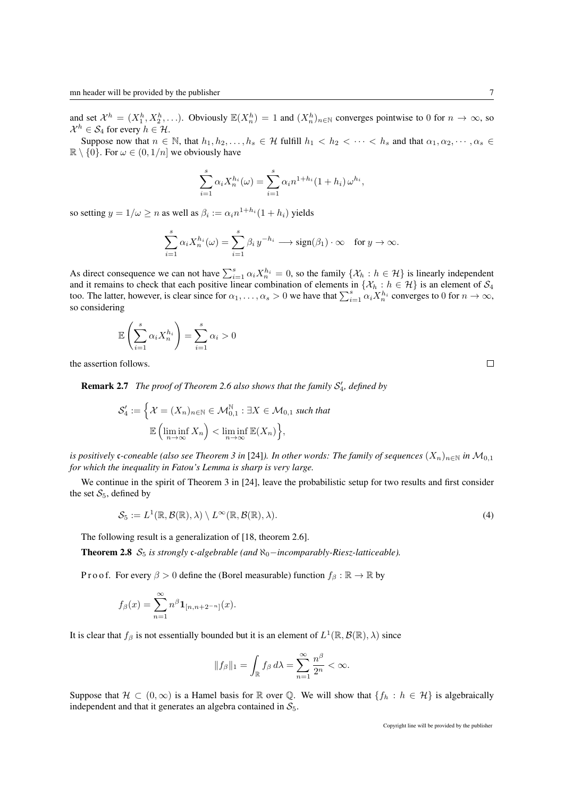and set  $\mathcal{X}^h = (X_1^h, X_2^h, \ldots)$ . Obviously  $\mathbb{E}(X_n^h) = 1$  and  $(X_n^h)_{n \in \mathbb{N}}$  converges pointwise to 0 for  $n \to \infty$ , so  $\mathcal{X}^h \in \mathcal{S}_4$  for every  $h \in \mathcal{H}$ .

Suppose now that  $n \in \mathbb{N}$ , that  $h_1, h_2, \ldots, h_s \in \mathcal{H}$  fulfill  $h_1 < h_2 < \cdots < h_s$  and that  $\alpha_1, \alpha_2, \cdots, \alpha_s \in$  $\mathbb{R} \setminus \{0\}$ . For  $\omega \in (0, 1/n]$  we obviously have

$$
\sum_{i=1}^{s} \alpha_i X_n^{h_i}(\omega) = \sum_{i=1}^{s} \alpha_i n^{1+h_i} (1+h_i) \, \omega^{h_i},
$$

so setting  $y = 1/\omega \ge n$  as well as  $\beta_i := \alpha_i n^{1+h_i} (1 + h_i)$  yields

$$
\sum_{i=1}^s \alpha_i X_n^{h_i}(\omega) = \sum_{i=1}^s \beta_i y^{-h_i} \longrightarrow \text{sign}(\beta_1) \cdot \infty \quad \text{for } y \to \infty.
$$

As direct consequence we can not have  $\sum_{i=1}^{s} \alpha_i X_n^{h_i} = 0$ , so the family  $\{\mathcal{X}_h : h \in \mathcal{H}\}\$  is linearly independent and it remains to check that each positive linear combination of elements in  $\{\mathcal{X}_h : h \in \mathcal{H}\}\$ is an element of  $\mathcal{S}_4$ too. The latter, however, is clear since for  $\alpha_1, \dots, \alpha_s > 0$  we have that  $\sum_{i=1}^s \alpha_i X_n^{h_i}$  converges to 0 for  $n \to \infty$ , so considering

$$
\mathbb{E}\left(\sum_{i=1}^{s} \alpha_i X_n^{h_i}\right) = \sum_{i=1}^{s} \alpha_i > 0
$$

the assertion follows.

**Remark 2.7** The proof of Theorem 2.6 also shows that the family  $S'_4$ , defined by

$$
\mathcal{S}'_4 := \Big\{ \mathcal{X} = (X_n)_{n \in \mathbb{N}} \in \mathcal{M}_{0,1}^{\mathbb{N}} : \exists X \in \mathcal{M}_{0,1} \text{ such that}
$$

$$
\mathbb{E}\left(\liminf_{n \to \infty} X_n\right) < \liminf_{n \to \infty} \mathbb{E}(X_n) \Big\},
$$

*is positively c-coneable (also see Theorem 3 in* [24]). In other words: The family of sequences  $(X_n)_{n\in\mathbb{N}}$  in  $\mathcal{M}_{0,1}$ *for which the inequality in Fatou's Lemma is sharp is very large.*

We continue in the spirit of Theorem 3 in [24], leave the probabilistic setup for two results and first consider the set  $S_5$ , defined by

$$
S_5 := L^1(\mathbb{R}, \mathcal{B}(\mathbb{R}), \lambda) \setminus L^{\infty}(\mathbb{R}, \mathcal{B}(\mathbb{R}), \lambda).
$$
\n(4)

The following result is a generalization of [18, theorem 2.6].

Theorem 2.8 S<sub>5</sub> *is strongly c-algebrable (and*  $\aleph_0$ −*incomparably-Riesz-latticeable).* 

P r o o f. For every  $\beta > 0$  define the (Borel measurable) function  $f_\beta : \mathbb{R} \to \mathbb{R}$  by

$$
f_{\beta}(x) = \sum_{n=1}^{\infty} n^{\beta} \mathbf{1}_{[n,n+2^{-n}]}(x).
$$

It is clear that  $f_\beta$  is not essentially bounded but it is an element of  $L^1(\mathbb{R}, \mathcal{B}(\mathbb{R}), \lambda)$  since

$$
||f_{\beta}||_1 = \int_{\mathbb{R}} f_{\beta} d\lambda = \sum_{n=1}^{\infty} \frac{n^{\beta}}{2^n} < \infty.
$$

Suppose that  $\mathcal{H} \subset (0,\infty)$  is a Hamel basis for R over Q. We will show that  $\{f_h : h \in \mathcal{H}\}\$ is algebraically independent and that it generates an algebra contained in  $S_5$ .

 $\Box$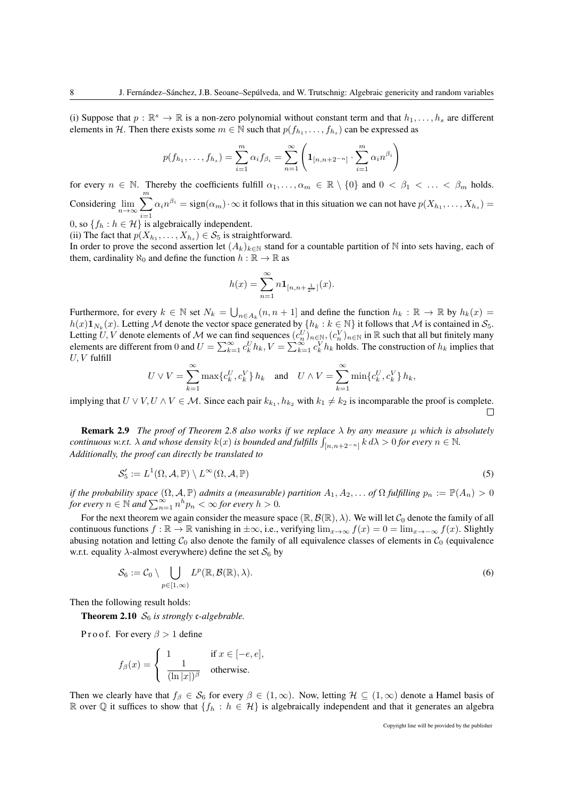(i) Suppose that  $p : \mathbb{R}^s \to \mathbb{R}$  is a non-zero polynomial without constant term and that  $h_1, \ldots, h_s$  are different elements in H. Then there exists some  $m \in \mathbb{N}$  such that  $p(f_{h_1}, \ldots, f_{h_s})$  can be expressed as

$$
p(f_{h_1},...,f_{h_s}) = \sum_{i=1}^m \alpha_i f_{\beta_i} = \sum_{n=1}^\infty \left( \mathbf{1}_{[n,n+2^{-n}]} \cdot \sum_{i=1}^m \alpha_i n^{\beta_i} \right)
$$

for every  $n \in \mathbb{N}$ . Thereby the coefficients fulfill  $\alpha_1, \ldots, \alpha_m \in \mathbb{R} \setminus \{0\}$  and  $0 < \beta_1 < \ldots < \beta_m$  holds. Considering  $\lim_{n\to\infty}\sum_{n=1}^m$  $i=1$  $\alpha_i n^{\beta_i} = sign(\alpha_m) \cdot \infty$  it follows that in this situation we can not have  $p(X_{h_1}, \dots, X_{h_s}) =$ 

0, so  $\{f_h : h \in \mathcal{H}\}\$ is algebraically independent.

(ii) The fact that  $p(X_{h_1},...,X_{h_s}) \in S_5$  is straightforward.

In order to prove the second assertion let  $(A_k)_{k\in\mathbb{N}}$  stand for a countable partition of N into sets having, each of them, cardinality  $\aleph_0$  and define the function  $h : \mathbb{R} \to \mathbb{R}$  as

$$
h(x) = \sum_{n=1}^{\infty} n \mathbf{1}_{[n,n+\frac{1}{2^n}]}(x).
$$

Furthermore, for every  $k \in \mathbb{N}$  set  $N_k = \bigcup_{n \in A_k} (n, n + 1]$  and define the function  $h_k : \mathbb{R} \to \mathbb{R}$  by  $h_k(x) =$  $h(x) \mathbf{1}_{N_k}(x)$ . Letting M denote the vector space generated by  $\{h_k : k \in \mathbb{N}\}\$ it follows that M is contained in  $S_5$ . Letting  $U, V$  denote elements of M we can find sequences  $(c_n^U)_{n \in \mathbb{N}}, (c_n^V)_{n \in \mathbb{N}}$  in  $\mathbb R$  such that all but finitely many elements are different from 0 and  $U = \sum_{k=1}^{\infty} c_k^U h_k$ ,  $V = \sum_{k=1}^{\infty} c_k^V h_k$  holds. The construction of  $h_k$  implies that  $U, V$  fulfill

$$
U \vee V = \sum_{k=1}^{\infty} \max\{c_k^U, c_k^V\} \, h_k \quad \text{and} \quad U \wedge V = \sum_{k=1}^{\infty} \min\{c_k^U, c_k^V\} \, h_k,
$$

implying that  $U \vee V, U \wedge V \in \mathcal{M}$ . Since each pair  $k_{k_1}, h_{k_2}$  with  $k_1 \neq k_2$  is incomparable the proof is complete.  $\Box$ 

**Remark 2.9** *The proof of Theorem 2.8 also works if we replace*  $\lambda$  *by any measure*  $\mu$  *which is absolutely continuous w.r.t.*  $\lambda$  *and whose density*  $k(x)$  *is bounded and fulfills*  $\int_{[n,n+2^{-n}]} k d\lambda > 0$  *for every*  $n \in \mathbb{N}$ . *Additionally, the proof can directly be translated to*

$$
\mathcal{S}'_5 := L^1(\Omega, \mathcal{A}, \mathbb{P}) \setminus L^\infty(\Omega, \mathcal{A}, \mathbb{P})
$$
\n<sup>(5)</sup>

*if the probability space*  $(\Omega, \mathcal{A}, \mathbb{P})$  *admits a (measurable) partition*  $A_1, A_2, \ldots$  *of*  $\Omega$  *fulfilling*  $p_n := \mathbb{P}(A_n) > 0$ *for every*  $n \in \mathbb{N}$  *and*  $\sum_{n=1}^{\infty} n^h p_n < \infty$  *for every*  $h > 0$ *.* 

For the next theorem we again consider the measure space  $(\mathbb{R}, \mathcal{B}(\mathbb{R}), \lambda)$ . We will let  $\mathcal{C}_0$  denote the family of all continuous functions  $f : \mathbb{R} \to \mathbb{R}$  vanishing in  $\pm \infty$ , i.e., verifying  $\lim_{x\to\infty} f(x) = 0 = \lim_{x\to\infty} f(x)$ . Slightly abusing notation and letting  $C_0$  also denote the family of all equivalence classes of elements in  $C_0$  (equivalence w.r.t. equality  $\lambda$ -almost everywhere) define the set  $S_6$  by

$$
\mathcal{S}_6 := \mathcal{C}_0 \setminus \bigcup_{p \in [1,\infty)} L^p(\mathbb{R}, \mathcal{B}(\mathbb{R}), \lambda).
$$
\n(6)

Then the following result holds:

**Theorem 2.10**  $S_6$  *is strongly c-algebrable.* 

Pro of. For every  $\beta > 1$  define

$$
f_{\beta}(x) = \begin{cases} 1 & \text{if } x \in [-e, e], \\ \frac{1}{(\ln|x|)^{\beta}} & \text{otherwise.} \end{cases}
$$

Then we clearly have that  $f_\beta \in S_6$  for every  $\beta \in (1,\infty)$ . Now, letting  $\mathcal{H} \subseteq (1,\infty)$  denote a Hamel basis of R over Q it suffices to show that  $\{f_h : h \in \mathcal{H}\}\$ is algebraically independent and that it generates an algebra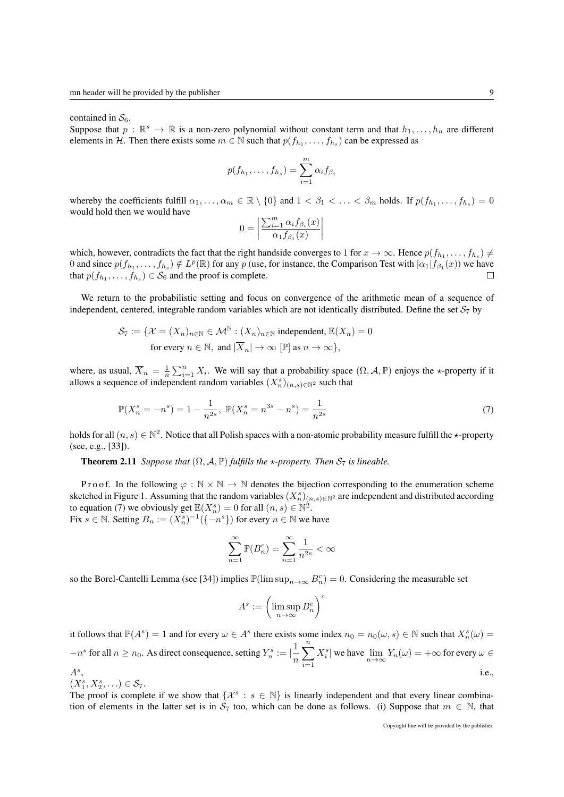contained in  $S_6$ .

Suppose that  $p : \mathbb{R}^s \to \mathbb{R}$  is a non-zero polynomial without constant term and that  $h_1, \ldots, h_n$  are different elements in H. Then there exists some  $m \in \mathbb{N}$  such that  $p(f_{h_1}, \ldots, f_{h_s})$  can be expressed as

$$
p(f_{h_1},\ldots,f_{h_s})=\sum_{i=1}^m \alpha_i f_{\beta_i}
$$

whereby the coefficients fulfill  $\alpha_1, \ldots, \alpha_m \in \mathbb{R} \setminus \{0\}$  and  $1 < \beta_1 < \ldots < \beta_m$  holds. If  $p(f_{h_1}, \ldots, f_{h_s}) = 0$ would hold then we would have

$$
0 = \left| \frac{\sum_{i=1}^{m} \alpha_i f_{\beta_i}(x)}{\alpha_1 f_{\beta_1}(x)} \right|
$$

which, however, contradicts the fact that the right handside converges to 1 for  $x \to \infty$ . Hence  $p(f_{h_1}, \ldots, f_{h_s}) \neq$ 0 and since  $p(f_{h_1},...,f_{h_s}) \notin L^p(\mathbb{R})$  for any p (use, for instance, the Comparison Test with  $|\alpha_1| f_{\beta_1}(x)$ ) we have that  $p(f_{h_1},...,f_{h_s}) \in S_6$  and the proof is complete.  $\Box$ 

We return to the probabilistic setting and focus on convergence of the arithmetic mean of a sequence of independent, centered, integrable random variables which are not identically distributed. Define the set  $S_7$  by

$$
\mathcal{S}_7 := \{ \mathcal{X} = (X_n)_{n \in \mathbb{N}} \in \mathcal{M}^{\mathbb{N}} : (X_n)_{n \in \mathbb{N}} \text{ independent, } \mathbb{E}(X_n) = 0
$$
  
for every  $n \in \mathbb{N}$ , and  $|\overline{X}_n| \to \infty$  [ $\mathbb{P}$ ] as  $n \to \infty$ },

where, as usual,  $\overline{X}_n = \frac{1}{n} \sum_{i=1}^n X_i$ . We will say that a probability space  $(\Omega, \mathcal{A}, \mathbb{P})$  enjoys the  $\star$ -property if it allows a sequence of independent random variables  $(X_n^s)_{(n,s)\in\mathbb{N}^2}$  such that

$$
\mathbb{P}(X_n^s = -n^s) = 1 - \frac{1}{n^{2s}}, \ \mathbb{P}(X_n^s = n^{3s} - n^s) = \frac{1}{n^{2s}} \tag{7}
$$

holds for all  $(n, s) \in \mathbb{N}^2$ . Notice that all Polish spaces with a non-atomic probability measure fulfill the  $\star$ -property (see, e.g., [33]).

**Theorem 2.11** *Suppose that*  $(\Omega, \mathcal{A}, \mathbb{P})$  *fulfills the*  $\star$ *-property. Then*  $S_7$  *is lineable.* 

P r o o f. In the following  $\varphi : \mathbb{N} \times \mathbb{N} \to \mathbb{N}$  denotes the bijection corresponding to the enumeration scheme sketched in Figure 1. Assuming that the random variables  $(X_n^s)_{(n,s)\in\mathbb{N}^2}$  are independent and distributed according to equation (7) we obviously get  $\mathbb{E}(X_n^s) = 0$  for all  $(n, s) \in \mathbb{N}^2$ . Fix  $s \in \mathbb{N}$ . Setting  $B_n := (X_n^s)^{-1}(\{-n^s\})$  for every  $n \in \mathbb{N}$  we have

$$
\sum_{n=1}^{\infty} \mathbb{P}(B_n^c) = \sum_{n=1}^{\infty} \frac{1}{n^{2s}} < \infty
$$

so the Borel-Cantelli Lemma (see [34]) implies  $\mathbb{P}(\limsup_{n\to\infty} B_n^c) = 0$ . Considering the measurable set

$$
A^s := \left(\limsup_{n \to \infty} B_n^c\right)^c
$$

it follows that  $\mathbb{P}(A^s) = 1$  and for every  $\omega \in A^s$  there exists some index  $n_0 = n_0(\omega, s) \in \mathbb{N}$  such that  $X_n^s(\omega) =$ n  $-n^s$  for all  $n \geq n_0$ . As direct consequence, setting  $Y_n^s := \left| \frac{1}{n} \right|$ n  $\sum_{n=1}^{\infty}$  $i=1$  $X_i^s|$  we have  $\lim_{n\to\infty}Y_n(\omega)=+\infty$  for every  $\omega\in$  $A^s$ . , i.e.,

$$
(X_1^s, X_2^s, \ldots) \in \mathcal{S}_7.
$$

 $(2, 1, 2, ...) \in \mathcal{O}_7$ .<br>The proof is complete if we show that  $\{X^s : s \in \mathbb{N}\}$  is linearly independent and that every linear combination of elements in the latter set is in  $S_7$  too, which can be done as follows. (i) Suppose that  $m \in \mathbb{N}$ , that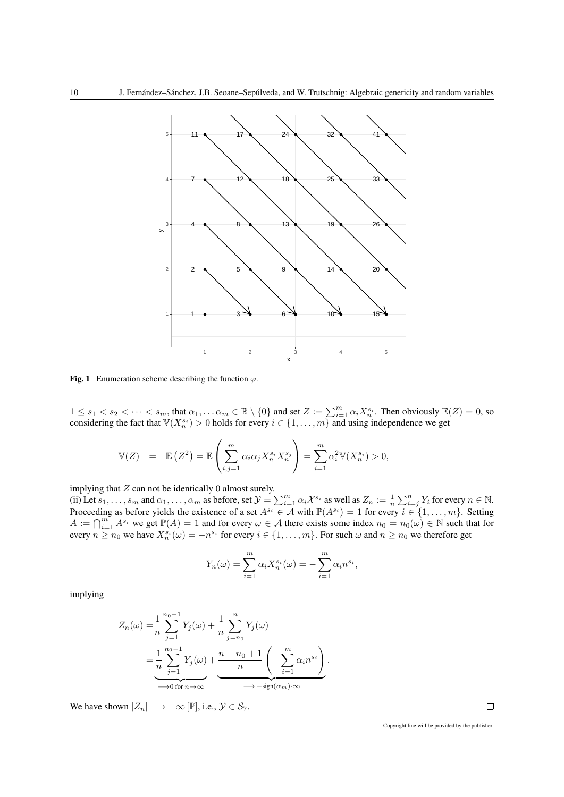

Fig. 1 Enumeration scheme describing the function  $\varphi$ .

 $1 \leq s_1 < s_2 < \cdots < s_m$ , that  $\alpha_1, \ldots \alpha_m \in \mathbb{R} \setminus \{0\}$  and set  $Z := \sum_{i=1}^m \alpha_i X_n^{s_i}$ . Then obviously  $\mathbb{E}(Z) = 0$ , so considering the fact that  $\mathbb{V}(X_n^{s_i}) > 0$  holds for every  $i \in \{1, ..., m\}$  and using independence we get

$$
\mathbb{V}(Z) = \mathbb{E}\left(Z^2\right) = \mathbb{E}\left(\sum_{i,j=1}^m \alpha_i \alpha_j X_n^{s_i} X_n^{s_j}\right) = \sum_{i=1}^m \alpha_i^2 \mathbb{V}(X_n^{s_i}) > 0,
$$

implying that  $Z$  can not be identically  $0$  almost surely. (ii) Let  $s_1, \ldots, s_m$  and  $\alpha_1, \ldots, \alpha_m$  as before, set  $\mathcal{Y} = \sum_{i=1}^m \alpha_i \mathcal{X}^{s_i}$  as well as  $Z_n := \frac{1}{n} \sum_{i=1}^n Y_i$  for every  $n \in \mathbb{N}$ . Proceeding as before yields the existence of a set  $A^{s_i} \in A$  with  $\mathbb{P}(A^{s_i}) = 1$  for every  $i \in \{1, ..., m\}$ . Setting  $A := \bigcap_{i=1}^{m} A^{s_i}$  we get  $\mathbb{P}(A) = 1$  and for every  $\omega \in A$  there exists some index  $n_0 = n_0(\omega) \in \mathbb{N}$  such that for every  $n \ge n_0$  we have  $X_n^{s_i}(\omega) = -n^{s_i}$  for every  $i \in \{1, ..., m\}$ . For such  $\omega$  and  $n \ge n_0$  we therefore get

$$
Y_n(\omega) = \sum_{i=1}^m \alpha_i X_n^{s_i}(\omega) = -\sum_{i=1}^m \alpha_i n^{s_i},
$$

implying

$$
Z_n(\omega) = \frac{1}{n} \sum_{j=1}^{n_0 - 1} Y_j(\omega) + \frac{1}{n} \sum_{j=n_0}^n Y_j(\omega)
$$
  
= 
$$
\frac{1}{n} \sum_{j=1}^{n_0 - 1} Y_j(\omega) + \underbrace{\frac{n - n_0 + 1}{n} \left( - \sum_{i=1}^m \alpha_i n^{s_i} \right)}_{\longrightarrow 0 \text{ for } n \to \infty}.
$$

We have shown  $|Z_n| \longrightarrow +\infty$  [P], i.e.,  $\mathcal{Y} \in \mathcal{S}_7$ .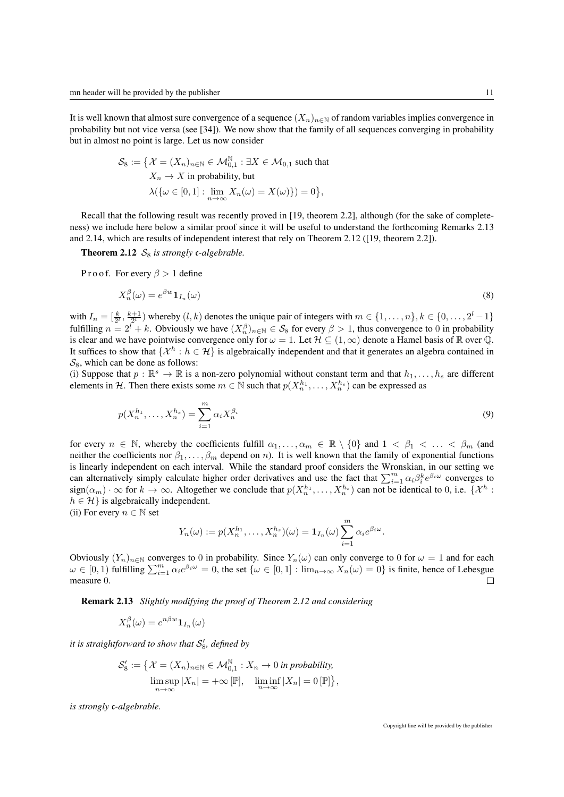It is well known that almost sure convergence of a sequence  $(X_n)_{n\in\mathbb{N}}$  of random variables implies convergence in probability but not vice versa (see [34]). We now show that the family of all sequences converging in probability but in almost no point is large. Let us now consider

$$
\mathcal{S}_8 := \left\{ \mathcal{X} = (X_n)_{n \in \mathbb{N}} \in \mathcal{M}_{0,1}^{\mathbb{N}} : \exists X \in \mathcal{M}_{0,1} \text{ such that } X_n \to X \text{ in probability, but } \right.
$$

$$
\lambda(\{\omega \in [0,1]: \lim_{n \to \infty} X_n(\omega) = X(\omega)\}) = 0 \right\},
$$

Recall that the following result was recently proved in [19, theorem 2.2], although (for the sake of completeness) we include here below a similar proof since it will be useful to understand the forthcoming Remarks 2.13 and 2.14, which are results of independent interest that rely on Theorem 2.12 ([19, theorem 2.2]).

**Theorem 2.12**  $S_8$  is strongly c-algebrable.

Proof. For every  $\beta > 1$  define

$$
X_n^{\beta}(\omega) = e^{\beta w} \mathbf{1}_{I_n}(\omega) \tag{8}
$$

with  $I_n = \left[\frac{k}{2^l}, \frac{k+1}{2^l}\right)$  whereby  $(l, k)$  denotes the unique pair of integers with  $m \in \{1, \ldots, n\}, k \in \{0, \ldots, 2^l-1\}$ fulfilling  $n = 2^l + k$ . Obviously we have  $(X_n^{\beta})_{n \in \mathbb{N}} \in S_8$  for every  $\beta > 1$ , thus convergence to 0 in probability is clear and we have pointwise convergence only for  $\omega = 1$ . Let  $\mathcal{H} \subseteq (1, \infty)$  denote a Hamel basis of  $\mathbb R$  over  $\mathbb Q$ . It suffices to show that  $\{\mathcal{X}^h : h \in \mathcal{H}\}$  is algebraically independent and that it generates an algebra contained in  $S_8$ , which can be done as follows:

(i) Suppose that  $p : \mathbb{R}^s \to \mathbb{R}$  is a non-zero polynomial without constant term and that  $h_1, \ldots, h_s$  are different elements in H. Then there exists some  $m \in \mathbb{N}$  such that  $p(X_n^{h_1}, \ldots, X_n^{h_s})$  can be expressed as

$$
p(X_n^{h_1}, \dots, X_n^{h_s}) = \sum_{i=1}^m \alpha_i X_n^{\beta_i}
$$
\n(9)

for every  $n \in \mathbb{N}$ , whereby the coefficients fulfill  $\alpha_1, \ldots, \alpha_m \in \mathbb{R} \setminus \{0\}$  and  $1 \lt \beta_1 \lt \ldots \lt \beta_m$  (and neither the coefficients nor  $\beta_1, \ldots, \beta_m$  depend on n). It is well known that the family of exponential functions is linearly independent on each interval. While the standard proof considers the Wronskian, in our setting we can alternatively simply calculate higher order derivatives and use the fact that  $\sum_{i=1}^{m} \alpha_i \beta_i^k e^{\beta_i \omega}$  converges to  $sign(\alpha_m) \cdot \infty$  for  $k \to \infty$ . Altogether we conclude that  $p(X_n^{h_1}, \ldots, X_n^{h_s})$  can not be identical to 0, i.e.  $\{X^h :$  $h \in \mathcal{H}$  is algebraically independent.

(ii) For every  $n \in \mathbb{N}$  set

$$
Y_n(\omega) := p(X_n^{h_1}, \dots, X_n^{h_s})(\omega) = \mathbf{1}_{I_n}(\omega) \sum_{i=1}^m \alpha_i e^{\beta_i \omega}.
$$

Obviously  $(Y_n)_{n\in\mathbb{N}}$  converges to 0 in probability. Since  $Y_n(\omega)$  can only converge to 0 for  $\omega = 1$  and for each  $\omega \in [0,1)$  fulfilling  $\sum_{i=1}^{m} \alpha_i e^{\beta_i \omega} = 0$ , the set  $\{\omega \in [0,1]: \lim_{n \to \infty} X_n(\omega) = 0\}$  is finite, hence of Lebesgue measure 0.  $\Box$ 

Remark 2.13 *Slightly modifying the proof of Theorem 2.12 and considering*

$$
X_n^{\beta}(\omega) = e^{n\beta w} \mathbf{1}_{I_n}(\omega)
$$

it is straightforward to show that  $\mathcal{S}'_8$ , defined by

$$
\mathcal{S}'_8 := \{ \mathcal{X} = (X_n)_{n \in \mathbb{N}} \in \mathcal{M}_{0,1}^{\mathbb{N}} : X_n \to 0 \text{ in probability,}
$$
  

$$
\limsup_{n \to \infty} |X_n| = +\infty [\mathbb{P}], \quad \liminf_{n \to \infty} |X_n| = 0 [\mathbb{P}] \},
$$

*is strongly* c*-algebrable.*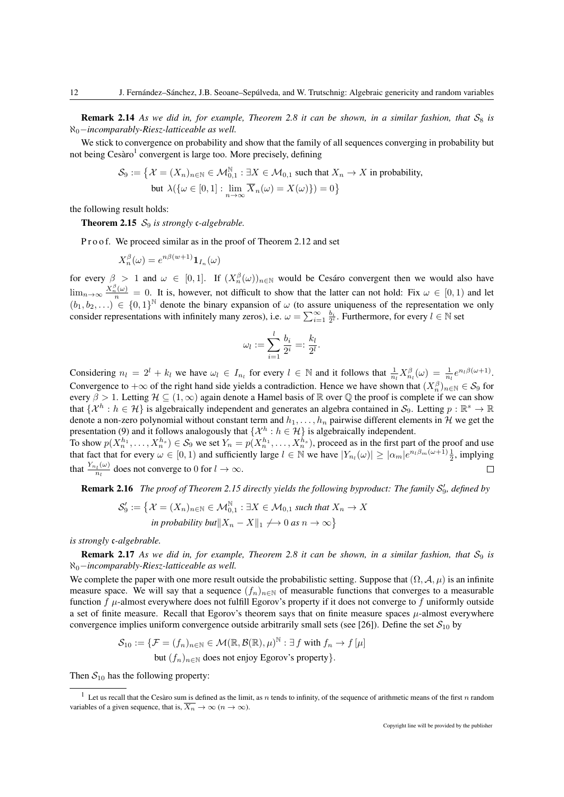**Remark 2.14** As we did in, for example, Theorem 2.8 it can be shown, in a similar fashion, that  $S_8$  is ℵ0−*incomparably-Riesz-latticeable as well.*

We stick to convergence on probability and show that the family of all sequences converging in probability but not being Cesàro<sup>1</sup> convergent is large too. More precisely, defining

$$
\mathcal{S}_9 := \left\{ \mathcal{X} = (X_n)_{n \in \mathbb{N}} \in \mathcal{M}_{0,1}^{\mathbb{N}} : \exists X \in \mathcal{M}_{0,1} \text{ such that } X_n \to X \text{ in probability, } \right.
$$
  
but  $\lambda(\{\omega \in [0,1]: \lim_{n \to \infty} \overline{X}_n(\omega) = X(\omega)\}) = 0 \right\}$ 

the following result holds:

**Theorem 2.15**  $S_9$  *is strongly c-algebrable.* 

Proof. We proceed similar as in the proof of Theorem 2.12 and set

$$
X_n^{\beta}(\omega) = e^{n\beta(w+1)} \mathbf{1}_{I_n}(\omega)
$$

for every  $\beta > 1$  and  $\omega \in [0,1]$ . If  $(X_n^{\beta}(\omega))_{n \in \mathbb{N}}$  would be Cesaro convergent then we would also have  $\lim_{n\to\infty}\frac{X_n^{\beta}(\omega)}{n} = 0$ . It is, however, not difficult to show that the latter can not hold: Fix  $\omega \in [0,1)$  and let  $(b_1, b_2, \ldots) \in \{0, 1\}^{\mathbb{N}}$  denote the binary expansion of  $\omega$  (to assure uniqueness of the representation we only consider representations with infinitely many zeros), i.e.  $\omega = \sum_{i=1}^{\infty} \frac{b_i}{2^i}$ . Furthermore, for every  $l \in \mathbb{N}$  set

$$
\omega_l:=\sum_{i=1}^l\frac{b_i}{2^i}=:\frac{k_l}{2^l}.
$$

Considering  $n_l = 2^l + k_l$  we have  $\omega_l \in I_{n_l}$  for every  $l \in \mathbb{N}$  and it follows that  $\frac{1}{n_l} X_{n_l}^{\beta}(\omega) = \frac{1}{n_l} e^{n_l \beta(\omega+1)}$ . Convergence to  $+\infty$  of the right hand side yields a contradiction. Hence we have shown that  $(X_n^{\beta})_{n\in\mathbb{N}}\in\mathcal{S}_9$  for every  $\beta > 1$ . Letting  $\mathcal{H} \subseteq (1,\infty)$  again denote a Hamel basis of  $\mathbb R$  over  $\mathbb Q$  the proof is complete if we can show that  $\{\mathcal{X}^h : h \in \mathcal{H}\}$  is algebraically independent and generates an algebra contained in  $\mathcal{S}_9$ . Letting  $p : \mathbb{R}^s \to \mathbb{R}$ denote a non-zero polynomial without constant term and  $h_1, \ldots, h_n$  pairwise different elements in H we get the presentation (9) and it follows analogously that  $\{\mathcal{X}^h : h \in \mathcal{H}\}$  is algebraically independent.

To show  $p(X_n^{h_1},...,X_n^{h_s}) \in S_9$  we set  $Y_n = p(X_n^{h_1},...,X_n^{h_s})$ , proceed as in the first part of the proof and use that fact that for every  $\omega \in [0, 1)$  and sufficiently large  $l \in \mathbb{N}$  we have  $|Y_{n_l}(\omega)| \ge |\alpha_m| e^{n_l \beta_m (\omega + 1)} \frac{1}{2}$ , implying that  $\frac{Y_{n_l}(\omega)}{n_l}$  $\frac{d_{l_l}(\omega)}{n_l}$  does not converge to 0 for  $l \to \infty$ .  $\Box$ 

**Remark 2.16** The proof of Theorem 2.15 directly yields the following byproduct: The family  $S'_9$ , defined by

$$
\mathcal{S}'_9 := \{ \mathcal{X} = (X_n)_{n \in \mathbb{N}} \in \mathcal{M}_{0,1}^{\mathbb{N}} : \exists X \in \mathcal{M}_{0,1} \text{ such that } X_n \to X \text{ in probability but } \|X_n - X\|_1 \to 0 \text{ as } n \to \infty \}
$$

*is strongly* c*-algebrable.*

**Remark 2.17** As we did in, for example, Theorem 2.8 it can be shown, in a similar fashion, that  $S_9$  is ℵ0−*incomparably-Riesz-latticeable as well.*

We complete the paper with one more result outside the probabilistic setting. Suppose that  $(\Omega, \mathcal{A}, \mu)$  is an infinite measure space. We will say that a sequence  $(f_n)_{n\in\mathbb{N}}$  of measurable functions that converges to a measurable function  $f$   $\mu$ -almost everywhere does not fulfill Egorov's property if it does not converge to f uniformly outside a set of finite measure. Recall that Egorov's theorem says that on finite measure spaces  $\mu$ -almost everywhere convergence implies uniform convergence outside arbitrarily small sets (see [26]). Define the set  $S_{10}$  by

$$
\mathcal{S}_{10} := \{ \mathcal{F} = (f_n)_{n \in \mathbb{N}} \in \mathcal{M}(\mathbb{R}, \mathcal{B}(\mathbb{R}), \mu)^{\mathbb{N}} : \exists f \text{ with } f_n \to f[\mu] \}
$$
  
but  $(f_n)_{n \in \mathbb{N}}$  does not enjoy Egorov's property}.

Then  $S_{10}$  has the following property:

<sup>&</sup>lt;sup>1</sup> Let us recall that the Cesàro sum is defined as the limit, as  $n$  tends to infinity, of the sequence of arithmetic means of the first  $n$  random variables of a given sequence, that is,  $\overline{X_n} \to \infty$   $(n \to \infty)$ .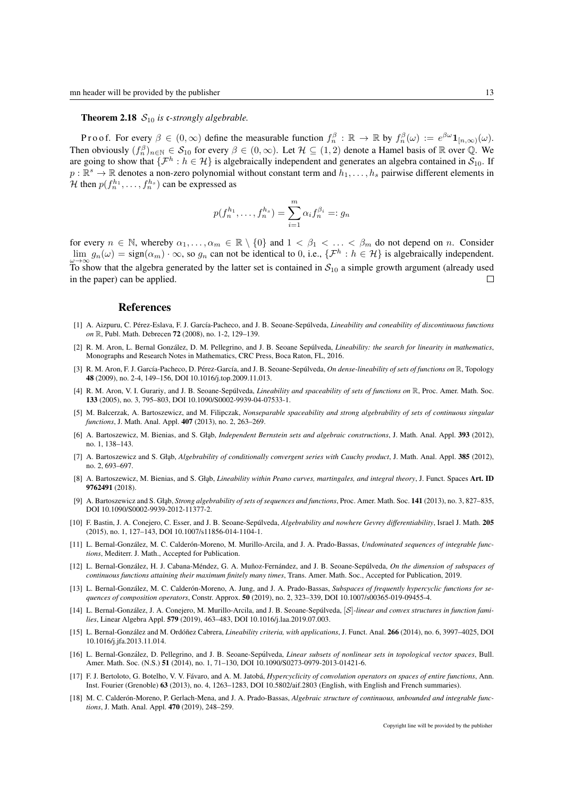**Theorem 2.18**  $S_{10}$  is c-strongly algebrable.

Proof. For every  $\beta \in (0,\infty)$  define the measurable function  $f_n^{\beta} : \mathbb{R} \to \mathbb{R}$  by  $f_n^{\beta}(\omega) := e^{\beta \omega} \mathbf{1}_{[n,\infty)}(\omega)$ . Then obviously  $(f_n^{\beta})_{n \in \mathbb{N}} \in S_{10}$  for every  $\beta \in (0,\infty)$ . Let  $\mathcal{H} \subseteq (1,2)$  denote a Hamel basis of  $\mathbb R$  over  $\mathbb Q$ . We are going to show that  $\{\mathcal{F}^h : h \in \mathcal{H}\}$  is algebraically independent and generates an algebra contained in  $S_{10}$ . If  $p:\mathbb{R}^s\to\mathbb{R}$  denotes a non-zero polynomial without constant term and  $h_1,\ldots,h_s$  pairwise different elements in H then  $p(f_n^{h_1}, \ldots, f_n^{h_s})$  can be expressed as

$$
p(f_n^{h_1},...,f_n^{h_s}) = \sum_{i=1}^m \alpha_i f_n^{\beta_i} =: g_n
$$

for every  $n \in \mathbb{N}$ , whereby  $\alpha_1, \ldots, \alpha_m \in \mathbb{R} \setminus \{0\}$  and  $1 \lt \beta_1 \lt \ldots \lt \beta_m$  do not depend on n. Consider  $\lim_{\omega \to \infty} g_n(\omega) = \text{sign}(\alpha_m) \cdot \infty$ , so  $g_n$  can not be identical to 0, i.e.,  $\{\mathcal{F}^h : h \in \mathcal{H}\}\$ is algebraically independent. To show that the algebra generated by the latter set is contained in  $S_{10}$  a simple growth argument (already used in the paper) can be applied.  $\Box$ 

## References

- [1] A. Aizpuru, C. Pérez-Eslava, F. J. García-Pacheco, and J. B. Seoane-Sepúlveda, *Lineability and coneability of discontinuous functions on* R, Publ. Math. Debrecen 72 (2008), no. 1-2, 129–139.
- [2] R. M. Aron, L. Bernal González, D. M. Pellegrino, and J. B. Seoane Sepúlveda, *Lineability: the search for linearity in mathematics*, Monographs and Research Notes in Mathematics, CRC Press, Boca Raton, FL, 2016.
- [3] R. M. Aron, F. J. García-Pacheco, D. Pérez-García, and J. B. Seoane-Sepúlveda, On dense-lineability of sets of functions on R, Topology 48 (2009), no. 2-4, 149–156, DOI 10.1016/j.top.2009.11.013.
- [4] R. M. Aron, V. I. Gurariy, and J. B. Seoane-Sepúlveda, *Lineability and spaceability of sets of functions on* R, Proc. Amer. Math. Soc. 133 (2005), no. 3, 795–803, DOI 10.1090/S0002-9939-04-07533-1.
- [5] M. Balcerzak, A. Bartoszewicz, and M. Filipczak, *Nonseparable spaceability and strong algebrability of sets of continuous singular functions*, J. Math. Anal. Appl. 407 (2013), no. 2, 263–269.
- [6] A. Bartoszewicz, M. Bienias, and S. Głąb, *Independent Bernstein sets and algebraic constructions*, J. Math. Anal. Appl. 393 (2012), no. 1, 138–143.
- [7] A. Bartoszewicz and S. Głąb, *Algebrability of conditionally convergent series with Cauchy product*, J. Math. Anal. Appl. 385 (2012), no. 2, 693–697.
- [8] A. Bartoszewicz, M. Bienias, and S. Głab, *Lineability within Peano curves, martingales, and integral theory*, J. Funct. Spaces Art. **ID** 9762491 (2018).
- [9] A. Bartoszewicz and S. Głąb, *Strong algebrability of sets of sequences and functions*, Proc. Amer. Math. Soc. 141 (2013), no. 3, 827-835, DOI 10.1090/S0002-9939-2012-11377-2.
- [10] F. Bastin, J. A. Conejero, C. Esser, and J. B. Seoane-Sepúlveda, Algebrability and nowhere Gevrey differentiability, Israel J. Math. 205 (2015), no. 1, 127–143, DOI 10.1007/s11856-014-1104-1.
- [11] L. Bernal-González, M. C. Calderón-Moreno, M. Murillo-Arcila, and J. A. Prado-Bassas, *Undominated sequences of integrable functions*, Mediterr. J. Math., Accepted for Publication.
- [12] L. Bernal-González, H. J. Cabana-Méndez, G. A. Muñoz-Fernández, and J. B. Seoane-Sepúlveda, On the dimension of subspaces of *continuous functions attaining their maximum finitely many times*, Trans. Amer. Math. Soc., Accepted for Publication, 2019.
- [13] L. Bernal-González, M. C. Calderón-Moreno, A. Jung, and J. A. Prado-Bassas, Subspaces of frequently hypercyclic functions for se*quences of composition operators*, Constr. Approx. 50 (2019), no. 2, 323–339, DOI 10.1007/s00365-019-09455-4.
- [14] L. Bernal-González, J. A. Conejero, M. Murillo-Arcila, and J. B. Seoane-Sepúlveda, [*S*]-linear and convex structures in function fami*lies*, Linear Algebra Appl. 579 (2019), 463–483, DOI 10.1016/j.laa.2019.07.003.
- [15] L. Bernal-González and M. Ordóñez Cabrera, *Lineability criteria, with applications*, J. Funct. Anal. 266 (2014), no. 6, 3997-4025, DOI 10.1016/j.jfa.2013.11.014.
- [16] L. Bernal-González, D. Pellegrino, and L. B. Seoane-Sepúlyeda, *Linear subsets of nonlinear sets in topological vector spaces*, Bull. Amer. Math. Soc. (N.S.) 51 (2014), no. 1, 71-130, DOI 10.1090/S0273-0979-2013-01421-6.
- [17] F. J. Bertoloto, G. Botelho, V. V. Fávaro, and A. M. Jatobá, *Hypercyclicity of convolution operators on spaces of entire functions*, Ann. Inst. Fourier (Grenoble) 63 (2013), no. 4, 1263–1283, DOI 10.5802/aif.2803 (English, with English and French summaries).
- [18] M. C. Calderón-Moreno, P. Gerlach-Mena, and J. A. Prado-Bassas, Algebraic structure of continuous, unbounded and integrable func*tions*, J. Math. Anal. Appl. 470 (2019), 248–259.